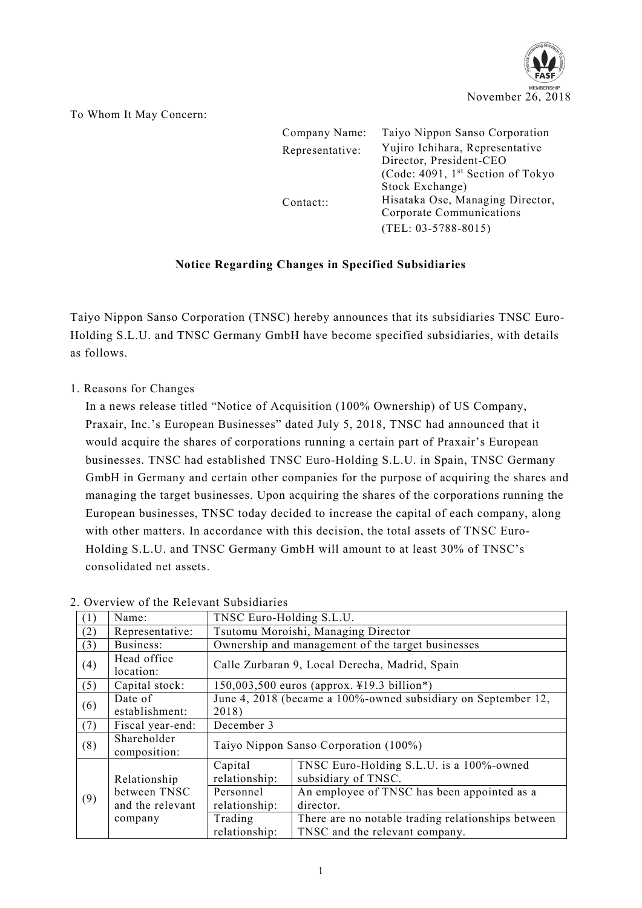

To Whom It May Concern:

| Company Name:   | Taiyo Nippon Sanso Corporation                             |  |
|-----------------|------------------------------------------------------------|--|
| Representative: | Yujiro Ichihara, Representative<br>Director, President-CEO |  |
|                 | (Code: 4091, 1 <sup>st</sup> Section of Tokyo              |  |
|                 | Stock Exchange)                                            |  |
| Content::       | Hisataka Ose, Managing Director,                           |  |
|                 | Corporate Communications                                   |  |
|                 | $(TEL: 03-5788-8015)$                                      |  |

## **Notice Regarding Changes in Specified Subsidiaries**

Taiyo Nippon Sanso Corporation (TNSC) hereby announces that its subsidiaries TNSC Euro-Holding S.L.U. and TNSC Germany GmbH have become specified subsidiaries, with details as follows.

1. Reasons for Changes

In a news release titled "Notice of Acquisition (100% Ownership) of US Company, Praxair, Inc.'s European Businesses" dated July 5, 2018, TNSC had announced that it would acquire the shares of corporations running a certain part of Praxair's European businesses. TNSC had established TNSC Euro-Holding S.L.U. in Spain, TNSC Germany GmbH in Germany and certain other companies for the purpose of acquiring the shares and managing the target businesses. Upon acquiring the shares of the corporations running the European businesses, TNSC today decided to increase the capital of each company, along with other matters. In accordance with this decision, the total assets of TNSC Euro-Holding S.L.U. and TNSC Germany GmbH will amount to at least 30% of TNSC's consolidated net assets.

| $\perp$ | Name:                            | TNSC Euro-Holding S.L.U.                                               |                                                                                      |  |
|---------|----------------------------------|------------------------------------------------------------------------|--------------------------------------------------------------------------------------|--|
| (2)     | Representative:                  | Tsutomu Moroishi, Managing Director                                    |                                                                                      |  |
| (3)     | Business:                        | Ownership and management of the target businesses                      |                                                                                      |  |
| (4)     | Head office<br>location:         | Calle Zurbaran 9, Local Derecha, Madrid, Spain                         |                                                                                      |  |
| (5)     | Capital stock:                   | 150,003,500 euros (approx. ¥19.3 billion*)                             |                                                                                      |  |
| (6)     | Date of<br>establishment:        | June 4, 2018 (became a 100%-owned subsidiary on September 12,<br>2018) |                                                                                      |  |
| (7)     | Fiscal year-end:                 | December 3                                                             |                                                                                      |  |
| (8)     | Shareholder<br>composition:      | Taiyo Nippon Sanso Corporation (100%)                                  |                                                                                      |  |
|         | Relationship                     | Capital<br>relationship:                                               | TNSC Euro-Holding S.L.U. is a 100%-owned<br>subsidiary of TNSC.                      |  |
| (9)     | between TNSC<br>and the relevant | Personnel<br>relationship:                                             | An employee of TNSC has been appointed as a<br>director.                             |  |
|         | company                          | Trading<br>relationship:                                               | There are no notable trading relationships between<br>TNSC and the relevant company. |  |

## 2. Overview of the Relevant Subsidiaries